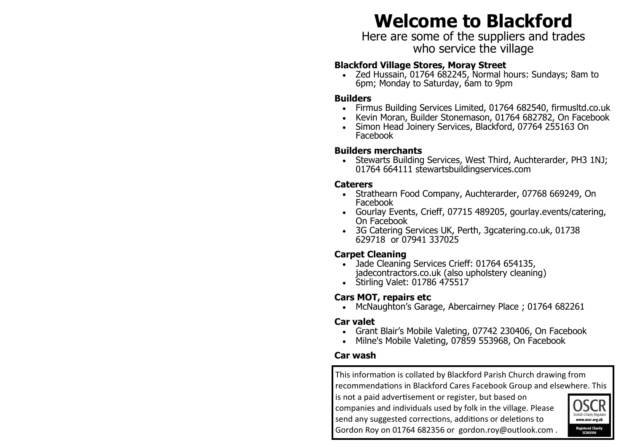# **Welcome to Blackford**

Here are some of the suppliers and trades who service the village

#### **Blackford Village Stores, Moray Street**

• Zed Hussain, 01764 682245, Normal hours: Sundays; 8am to 6pm; Monday to Saturday, 6am to 9pm

#### **Builders**

- Firmus Building Services Limited, 01764 682540, firmusltd.co.uk
- Kevin Moran, Builder Stonemason, 01764 682782, On Facebook
- Simon Head Joinery Services, Blackford, 07764 255163 On Facebook

#### **Builders merchants**

• Stewarts Building Services, West Third, Auchterarder, PH3 1NJ; 01764 664111 stewartsbuildingservices.com

#### **Caterers**

- Strathearn Food Company, Auchterarder, 07768 669249, On Facebook
- Gourlay Events, Crieff, 07715 489205, gourlay.events/catering, On Facebook
- 3G Catering Services UK, Perth, 3gcatering.co.uk, 01738 629718 or 07941 337025

#### **Carpet Cleaning**

- Jade Cleaning Services Crieff: 01764 654135, jadecontractors.co.uk (also upholstery cleaning)
- Stirling Valet: 01786 475517

#### **Cars MOT, repairs etc**

• McNaughton's Garage, Abercairney Place ; 01764 682261

#### **Car valet**

- Grant Blair's Mobile Valeting, 07742 230406, On Facebook
- Milne's Mobile Valeting, 07859 553968, On Facebook

#### **Car wash**

This information is collated by Blackford Parish Church drawing from recommendations in Blackford Cares Facebook Group and elsewhere. This

is not a paid advertisement or register, but based on companies and individuals used by folk in the village. Please send any suggested corrections, additions or deletions to Gordon Roy on 01764 682356 or gordon.roy@outlook.com .

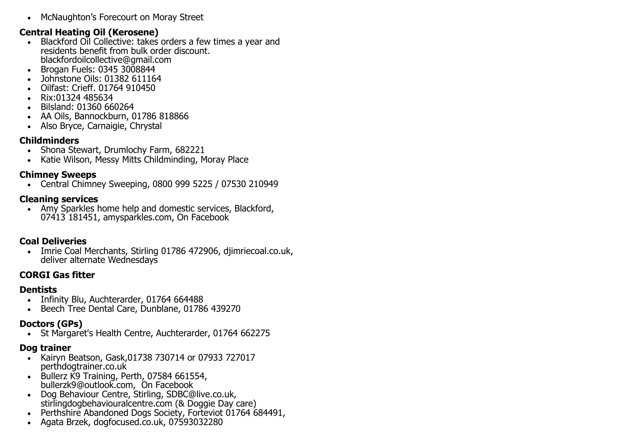• McNaughton's Forecourt on Moray Street

#### **Central Heating Oil (Kerosene)**

- Blackford Oil Collective: takes orders a few times a year and residents benefit from bulk order discount. blackfordoilcollective@gmail.com
- Brogan Fuels: 0345 3008844
- Johnstone Oils: 01382 611164
- Oilfast: Crieff. 01764 910450
- Rix:01324 485634
- Bilsland: 01360 660264
- AA Oils, Bannockburn, 01786 818866
- Also Bryce, Carnaigie, Chrystal

#### **Childminders**

- Shona Stewart, Drumlochy Farm, 682221
- Katie Wilson, Messy Mitts Childminding, Moray Place

#### **Chimney Sweeps**

• Central Chimney Sweeping, 0800 999 5225 / 07530 210949

#### **Cleaning services**

• Amy Sparkles home help and domestic services, Blackford, 07413 181451, amysparkles.com, On Facebook

## **Coal Deliveries**

• Imrie Coal Merchants, Stirling 01786 472906, diimriecoal.co.uk, deliver alternate Wednesdays

#### **CORGI Gas fitter**

#### **Dentists**

- Infinity Blu, Auchterarder, 01764 664488
- Beech Tree Dental Care, Dunblane, 01786 439270

## **Doctors (GPs)**

• St Margaret's Health Centre, Auchterarder, 01764 662275

## **Dog trainer**

- Kairyn Beatson, Gask,01738 730714 or 07933 727017 perthdogtrainer.co.uk
- Bullerz K9 Training, Perth, 07584 661554, bullerzk9@outlook.com, On Facebook
- Dog Behaviour Centre, Stirling, SDBC@live.co.uk, stirlingdogbehaviouralcentre.com (& Doggie Day care)
- Perthshire Abandoned Dogs Society, Forteviot 01764 684491,
- Agata Brzek, dogfocused.co.uk, 07593032280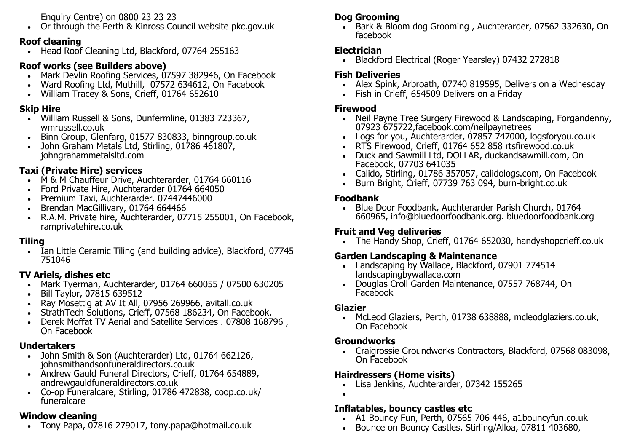Enquiry Centre) on 0800 23 23 23

• Or through the Perth & Kinross Council website pkc.gov.uk

#### **Roof cleaning**

• Head Roof Cleaning Ltd, Blackford, 07764 255163

#### **Roof works (see Builders above)**

- Mark Devlin Roofing Services, 07597 382946, On Facebook
- Ward Roofing Ltd, Muthill, 07572 634612, On Facebook
- William Tracey & Sons, Crieff, 01764 652610

## **Skip Hire**

- William Russell & Sons, Dunfermline, 01383 723367, wmrussell.co.uk
- Binn Group, Glenfarg, 01577 830833, binngroup.co.uk
- John Graham Metals Ltd, Stirling, 01786 461807, johngrahammetalsltd.com

## **Taxi (Private Hire) services**

- M & M Chauffeur Drive, Auchterarder, 01764 660116
- Ford Private Hire, Auchterarder 01764 664050
- Premium Taxi, Auchterarder. 07447446000
- Brendan MacGillivary, 01764 664466
- R.A.M. Private hire, Auchterarder, 07715 255001, On Facebook, ramprivatehire.co.uk

## **Tiling**

• Ian Little Ceramic Tiling (and building advice), Blackford, 07745 751046

#### **TV Ariels, dishes etc**

- Mark Tyerman, Auchterarder, 01764 660055 / 07500 630205
- Bill Taylor, 07815 639512
- Ray Mosettig at AV It All, 07956 269966, avitall.co.uk
- StrathTech Solutions, Crieff, 07568 186234, On Facebook.
- Derek Moffat TV Aerial and Satellite Services . 07808 168796 , On Facebook

#### **Undertakers**

- John Smith & Son (Auchterarder) Ltd, 01764 662126, johnsmithandsonfuneraldirectors.co.uk
- Andrew Gauld Funeral Directors, Crieff, 01764 654889, andrewgauldfuneraldirectors.co.uk
- Co-op Funeralcare, Stirling, 01786 472838, coop.co.uk/ funeralcare

# **Window cleaning**

• Tony Papa, 07816 279017, tony.papa@hotmail.co.uk

# **Dog Grooming**

• Bark & Bloom dog Grooming, Auchterarder, 07562 332630, On facebook

#### **Electrician**

• Blackford Electrical (Roger Yearsley) 07432 272818

## **Fish Deliveries**

- Alex Spink, Arbroath, 07740 819595, Delivers on a Wednesday
- Fish in Crieff, 654509 Delivers on a Friday

# **Firewood**

- Neil Payne Tree Surgery Firewood & Landscaping, Forgandenny, 07923 675722,facebook.com/neilpaynetrees
- Logs for you, Auchterarder, 07857 747000, logsforyou.co.uk
- RTS Firewood, Crieff, 01764 652 858 rtsfirewood.co.uk
- Duck and Sawmill Ltd, DOLLAR, duckandsawmill.com, On Facebook, 07703 641035
- Calido, Stirling, 01786 357057, calidologs.com, On Facebook
- Burn Bright, Crieff, 07739 763 094, burn-bright.co.uk

#### **Foodbank**

• Blue Door Foodbank, Auchterarder Parish Church, 01764 660965, info@bluedoorfoodbank.org. bluedoorfoodbank.org

# **Fruit and Veg deliveries**

• The Handy Shop, Crieff, 01764 652030, handyshopcrieff.co.uk

## **Garden Landscaping & Maintenance**

- Landscaping by Wallace, Blackford, 07901 774514 landscapingbywallace.com
- Douglas Croll Garden Maintenance, 07557 768744, On Facebook

#### **Glazier**

• McLeod Glaziers, Perth, 01738 638888, mcleodglaziers.co.uk, On Facebook

## **Groundworks**

• Craigrossie Groundworks Contractors, Blackford, 07568 083098, On Facebook

## **Hairdressers (Home visits)**

- Lisa Jenkins, Auchterarder, 07342 155265
- •

#### **Inflatables, bouncy castles etc**

- A1 Bouncy Fun, Perth, 07565 706 446, a1bouncyfun.co.uk
- Bounce on Bouncy Castles, Stirling/Alloa, 07811 403680,